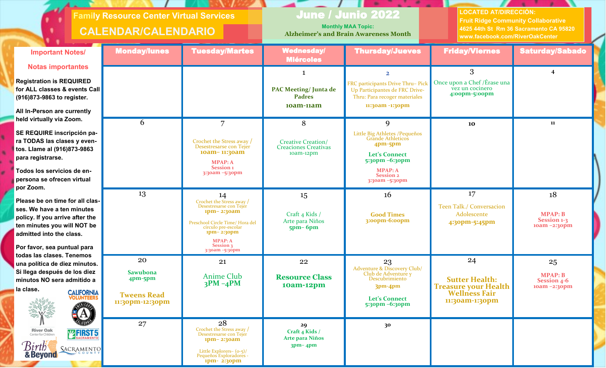| <b>Family Resource Center Virtual Services</b><br><b>CALENDAR/CALENDARIO</b>                                                                                            |                                                          |                                                                                                                                                  | <b>June / Junio 2022</b><br><b>Monthly MAA Topic:</b><br><b>Alzheimer's and Brain Awareness Month</b> |                                                                                                                                   | <b>LOCATED AT/DIRECCIÓN:</b><br><b>Fruit Ridge Community Collaborative</b><br>4625 44th St Rm 36 Sacramento CA 95820<br>www.facebook.com/RiverOakCenter |                                                        |
|-------------------------------------------------------------------------------------------------------------------------------------------------------------------------|----------------------------------------------------------|--------------------------------------------------------------------------------------------------------------------------------------------------|-------------------------------------------------------------------------------------------------------|-----------------------------------------------------------------------------------------------------------------------------------|---------------------------------------------------------------------------------------------------------------------------------------------------------|--------------------------------------------------------|
| <b>Important Notes/</b>                                                                                                                                                 | <b>Monday/lunes</b>                                      | <b>Tuesday/Martes</b>                                                                                                                            | <b>Wednesday/</b><br><b>Miércoles</b>                                                                 | <b>Thursday/Jueves</b>                                                                                                            | <b>Friday/Viernes</b>                                                                                                                                   | <b>Saturday/Sabado</b>                                 |
| <b>Notas importantes</b>                                                                                                                                                |                                                          |                                                                                                                                                  |                                                                                                       | $\overline{2}$                                                                                                                    | 3                                                                                                                                                       | 4                                                      |
| <b>Registration is REQUIRED</b><br>for ALL classes & events Call<br>(916)873-9863 to register.                                                                          |                                                          |                                                                                                                                                  | <b>PAC Meeting/Junta de</b><br><b>Padres</b><br>10am-11am                                             | FRC participants Drive Thru- Pick<br>Up Participantes de FRC Drive-<br>Thru: Para recoger materiales<br>11:30am -1:30pm           | Once upon a Chef /Érase una<br>vez un cocinero<br>4:00pm-5:00pm                                                                                         |                                                        |
| All In-Person are currently                                                                                                                                             |                                                          |                                                                                                                                                  |                                                                                                       |                                                                                                                                   |                                                                                                                                                         |                                                        |
| held virtually via Zoom.<br>SE REQUIRE inscripción pa-<br>ra TODAS las clases y even-<br>tos. Llame al (916)873-9863<br>para registrarse.<br>Todos los servicios de en- | 6                                                        | 7<br>Crochet the Stress away /<br>Desestresarse con Tejer<br>10am-11:30am<br><b>MPAP: A</b><br><b>Session</b> 1<br>3:30am -5:30pm                | 8<br><b>Creative Creation/</b><br><b>Creaciones Creativas</b><br>$10am-12pm$                          | 9<br>Little Big Athletes / Pequeños<br>Grande Athleticos<br>$4pm-5pm$<br><b>Let's Connect</b><br>5:30pm -6:30pm<br><b>MPAP: A</b> | 10                                                                                                                                                      | 11                                                     |
| persona se ofrecen virtual<br>por Zoom.                                                                                                                                 |                                                          |                                                                                                                                                  |                                                                                                       | <b>Session 2</b><br>3:30am -5:30pm                                                                                                |                                                                                                                                                         |                                                        |
| Please be on time for all clas-<br>ses. We have a ten minutes<br>policy. If you arrive after the<br>ten minutes you will NOT be<br>admitted into the class.             | 13                                                       | 14<br>Crochet the Stress away /<br>Desestresarse con Tejer<br>1pm-2:30am<br>Preschool Circle Time/ Hora del<br>círculo pre-escolar<br>1pm-2:30pm | 15<br>Craft 4 Kids /<br>Arte para Niños<br>$5pm-6pm$                                                  | 16<br><b>Good Times</b><br>$3:00$ pm- $6:00$ pm                                                                                   | 17<br>Teen Talk./ Conversacion<br>Adolescente<br>4:30pm-5:45pm                                                                                          | 18<br><b>MPAP: B</b><br>Session 1-3<br>$10am - 2:3opm$ |
| Por favor, sea puntual para<br>todas las clases. Tenemos                                                                                                                |                                                          | MPAP: A<br>Session 3<br>3:30am -5:30pm                                                                                                           |                                                                                                       |                                                                                                                                   |                                                                                                                                                         |                                                        |
| una política de diez minutos.<br>Si llega después de los diez<br>minutos NO sera admitido a<br>la clase.<br><b>CALIFORNIA</b><br>VOLUNTEERS                             | 20<br><b>Sawubona</b><br>$4pm-5pm$<br><b>Tweens Read</b> | 21<br>Anime Club<br>$3PM - 4PM$                                                                                                                  | 22<br><b>Resource Class</b><br>10am-12pm                                                              | 23<br>Adventure & Discovery Club/<br>Club de Adventure y<br>Descubrimiento<br>$3pm-4pm$<br><b>Let's Connect</b>                   | 24<br><b>Sutter Health:</b><br><b>Treasure your Health</b><br><b>Wellness Fair</b>                                                                      | 25<br><b>MPAP: B</b><br>Session 4-6<br>10am -2:30pm    |
| А                                                                                                                                                                       | 11:30pm-12:30pm<br>27                                    | 28                                                                                                                                               | 29                                                                                                    | 5:30pm -6:30pm<br>30                                                                                                              | 11:30am-1:30pm                                                                                                                                          |                                                        |
| <b>River Oak</b><br>Center for Children<br><b>WERST5</b><br>Birth<br>SACRAMENTO<br>& Beyond                                                                             |                                                          | Crochet the Stress away /<br>Desestresarse con Tejer<br>$1$ pm – 2:30am<br>Little Explorers- (o-5)/<br>Pequeños Exploradores -<br>ipm-2:30pm     | Craft 4 Kids /<br><b>Arte para Niños</b><br>$3pm-4pm$                                                 |                                                                                                                                   |                                                                                                                                                         |                                                        |

and the second state.